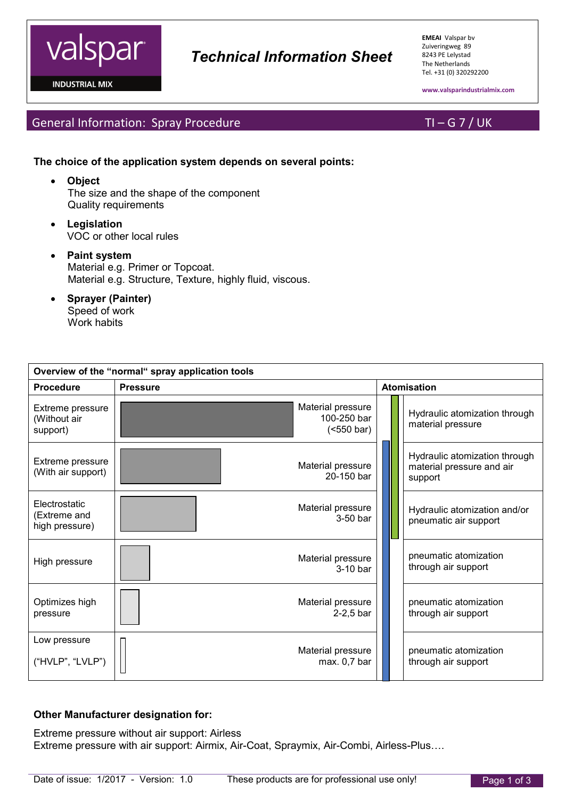

**INDUSTRIAL MIX** 

**EMEAI** Valspar bv Zuiveringweg 89 8243 PE Lelystad The Netherlands Tel. +31 (0) 320292200

**www.valsparindustrialmix.com**

General Information: Spray Procedure TI – G 7 / UK

### **The choice of the application system depends on several points:**

- **Object** The size and the shape of the component Quality requirements
- **Legislation** VOC or other local rules
- **Paint system** Material e.g. Primer or Topcoat. Material e.g. Structure, Texture, highly fluid, viscous.
- **Sprayer (Painter)** Speed of work Work habits

| Overview of the "normal" spray application tools |                                                         |                    |                                                                       |  |  |  |  |
|--------------------------------------------------|---------------------------------------------------------|--------------------|-----------------------------------------------------------------------|--|--|--|--|
| <b>Procedure</b>                                 | <b>Pressure</b>                                         | <b>Atomisation</b> |                                                                       |  |  |  |  |
| Extreme pressure<br>(Without air<br>support)     | Material pressure<br>100-250 bar<br>$(550 \text{ bar})$ |                    | Hydraulic atomization through<br>material pressure                    |  |  |  |  |
| Extreme pressure<br>(With air support)           | Material pressure<br>20-150 bar                         |                    | Hydraulic atomization through<br>material pressure and air<br>support |  |  |  |  |
| Electrostatic<br>(Extreme and<br>high pressure)  | Material pressure<br>$3-50$ bar                         |                    | Hydraulic atomization and/or<br>pneumatic air support                 |  |  |  |  |
| High pressure                                    | Material pressure<br>3-10 bar                           |                    | pneumatic atomization<br>through air support                          |  |  |  |  |
| Optimizes high<br>pressure                       | Material pressure<br>$2-2,5$ bar                        |                    | pneumatic atomization<br>through air support                          |  |  |  |  |
| Low pressure<br>("HVLP", "LVLP")                 | Material pressure<br>max. 0,7 bar                       |                    | pneumatic atomization<br>through air support                          |  |  |  |  |

### **Other Manufacturer designation for:**

Extreme pressure without air support: Airless Extreme pressure with air support: Airmix, Air-Coat, Spraymix, Air-Combi, Airless-Plus….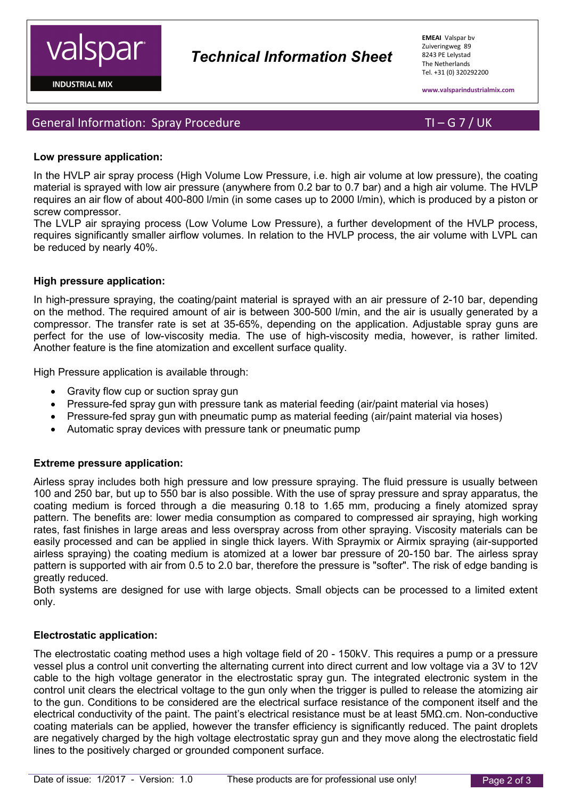# *Technical Information Sheet*

**EMEAI** Valspar bv Zuiveringweg 89 8243 PE Lelystad The Netherlands Tel. +31 (0) 320292200

**www.valsparindustrialmix.com**

## General Information: Spray Procedure TI – G 7 / UK

### **Low pressure application:**

In the HVLP air spray process (High Volume Low Pressure, i.e. high air volume at low pressure), the coating material is sprayed with low air pressure (anywhere from 0.2 bar to 0.7 bar) and a high air volume. The HVLP requires an air flow of about 400-800 l/min (in some cases up to 2000 l/min), which is produced by a piston or screw compressor.

The LVLP air spraying process (Low Volume Low Pressure), a further development of the HVLP process, requires significantly smaller airflow volumes. In relation to the HVLP process, the air volume with LVPL can be reduced by nearly 40%.

#### **High pressure application:**

In high-pressure spraying, the coating/paint material is sprayed with an air pressure of 2-10 bar, depending on the method. The required amount of air is between 300-500 l/min, and the air is usually generated by a compressor. The transfer rate is set at 35-65%, depending on the application. Adjustable spray guns are perfect for the use of low-viscosity media. The use of high-viscosity media, however, is rather limited. Another feature is the fine atomization and excellent surface quality.

High Pressure application is available through:

- Gravity flow cup or suction spray gun
- Pressure-fed spray gun with pressure tank as material feeding (air/paint material via hoses)
- Pressure-fed spray gun with pneumatic pump as material feeding (air/paint material via hoses)
- Automatic spray devices with pressure tank or pneumatic pump

#### **Extreme pressure application:**

Airless spray includes both high pressure and low pressure spraying. The fluid pressure is usually between 100 and 250 bar, but up to 550 bar is also possible. With the use of spray pressure and spray apparatus, the coating medium is forced through a die measuring 0.18 to 1.65 mm, producing a finely atomized spray pattern. The benefits are: lower media consumption as compared to compressed air spraying, high working rates, fast finishes in large areas and less overspray across from other spraying. Viscosity materials can be easily processed and can be applied in single thick layers. With Spraymix or Airmix spraying (air-supported airless spraying) the coating medium is atomized at a lower bar pressure of 20-150 bar. The airless spray pattern is supported with air from 0.5 to 2.0 bar, therefore the pressure is "softer". The risk of edge banding is greatly reduced.

Both systems are designed for use with large objects. Small objects can be processed to a limited extent only.

#### **Electrostatic application:**

The electrostatic coating method uses a high voltage field of 20 - 150kV. This requires a pump or a pressure vessel plus a control unit converting the alternating current into direct current and low voltage via a 3V to 12V cable to the high voltage generator in the electrostatic spray gun. The integrated electronic system in the control unit clears the electrical voltage to the gun only when the trigger is pulled to release the atomizing air to the gun. Conditions to be considered are the electrical surface resistance of the component itself and the electrical conductivity of the paint. The paint's electrical resistance must be at least 5MΩ.cm. Non-conductive coating materials can be applied, however the transfer efficiency is significantly reduced. The paint droplets are negatively charged by the high voltage electrostatic spray gun and they move along the electrostatic field lines to the positively charged or grounded component surface.